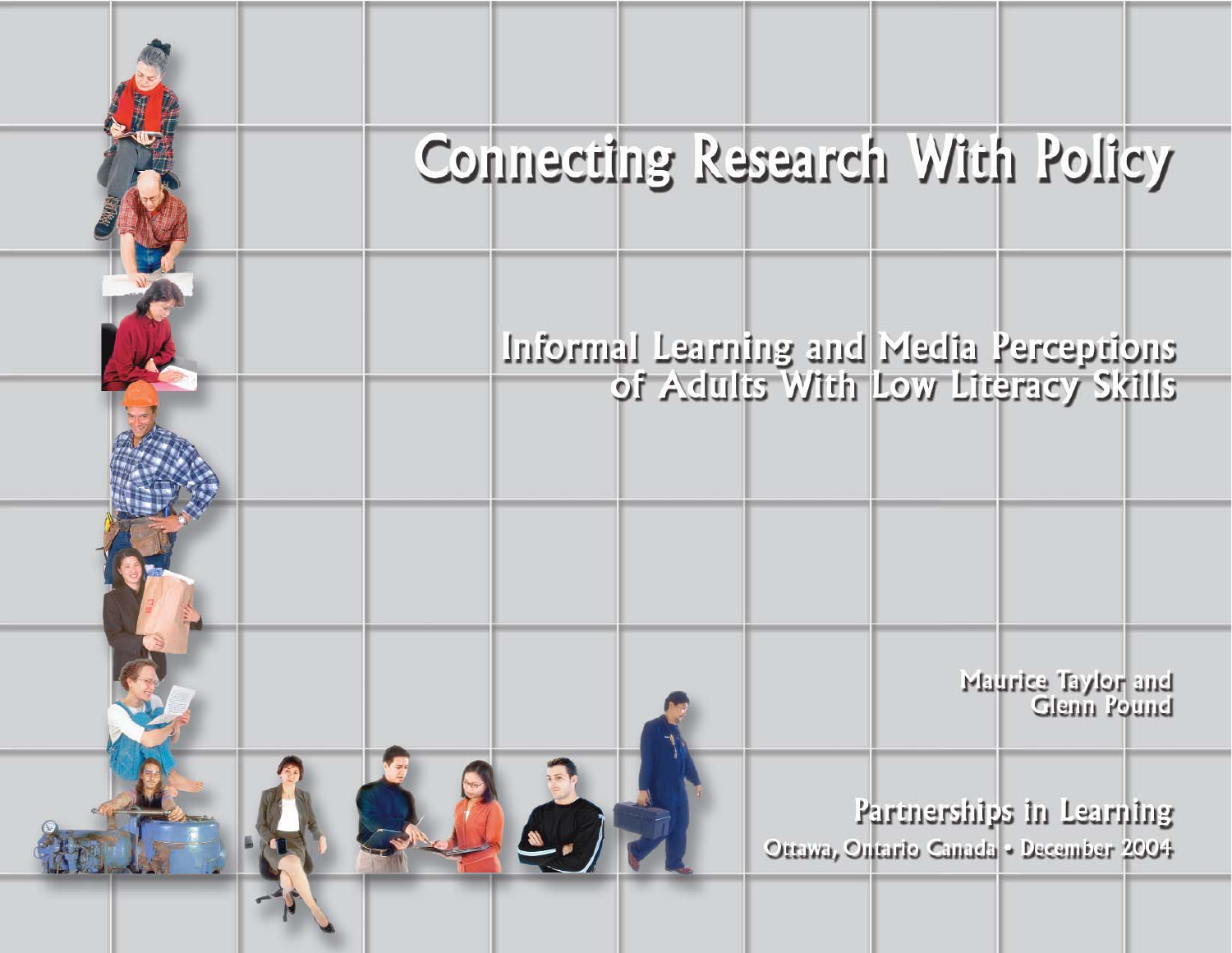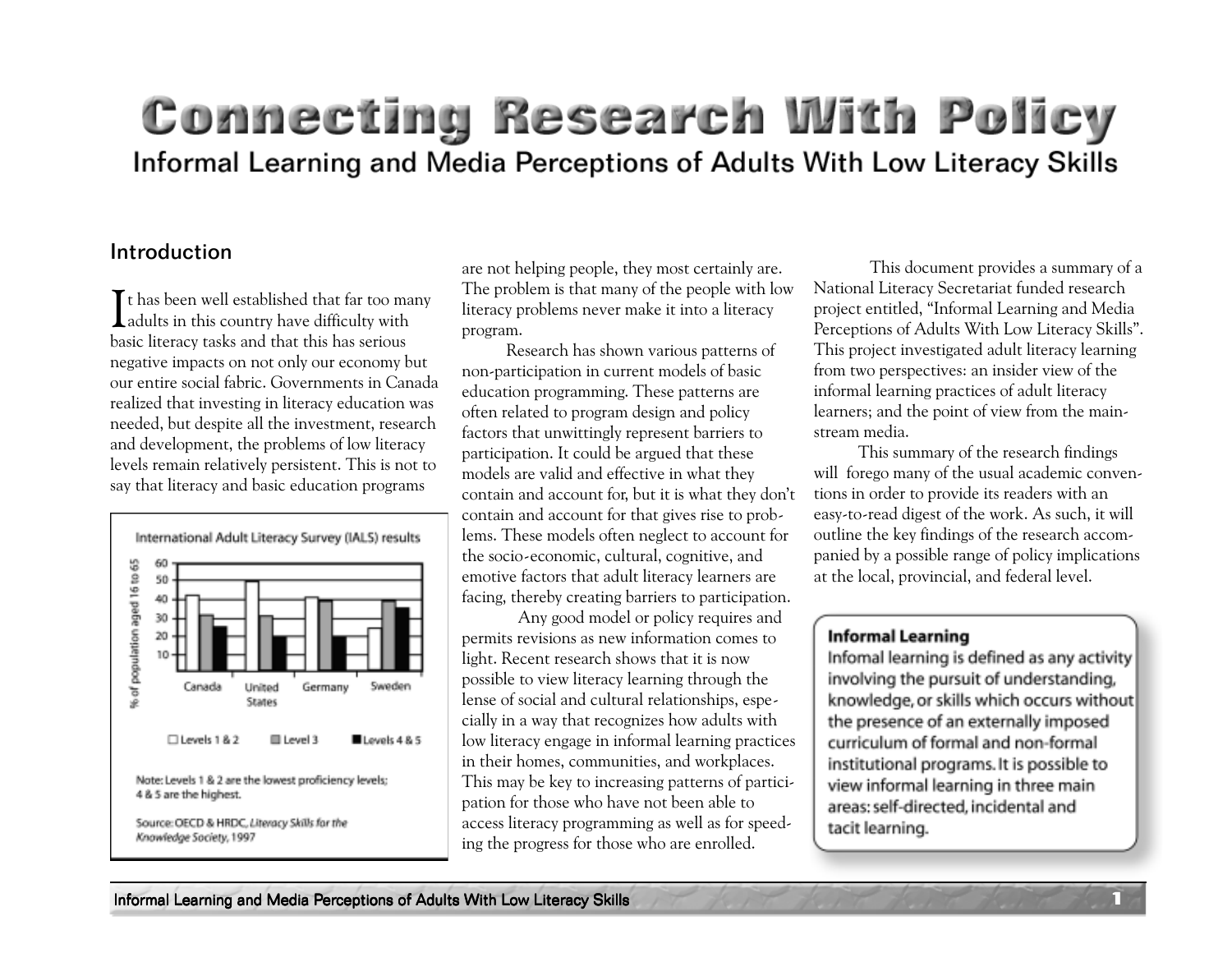# Connecting Research With Policy Informal Learning and Media Perceptions of Adults With Low Literacy Skills

#### Introduction

It has been well established that far too mandpoints in this country have difficulty with  $\mathsf T$ t has been well established that far too many basic literacy tasks and that this has serious negative impacts on not only our economy but our entire social fabric. Governments in Canada realized that investing in literacy education was needed, but despite all the investment, research and development, the problems of low literacy levels remain relatively persistent. This is not to say that literacy and basic education programs



are not helping people, they most certainly are. The problem is that many of the people with low literacy problems never make it into a literacy program.

Research has shown various patterns of non-participation in current models of basic education programming. These patterns are often related to program design and policy factors that unwittingly represent barriers to participation. It could be argued that these models are valid and effective in what they contain and account for, but it is what they don't contain and account for that gives rise to problems. These models often neglect to account for the socio-economic, cultural, cognitive, and emotive factors that adult literacy learners are facing, thereby creating barriers to participation.

Any good model or policy requires and permits revisions as new information comes to light. Recent research shows that it is now possible to view literacy learning through the lense of social and cultural relationships, especially in a way that recognizes how adults with low literacy engage in informal learning practices in their homes, communities, and workplaces. This may be key to increasing patterns of participation for those who have not been able to access literacy programming as well as for speeding the progress for those who are enrolled.

This document provides a summary of a National Literacy Secretariat funded research project entitled, "Informal Learning and Media Perceptions of Adults With Low Literacy Skills". This project investigated adult literacy learning from two perspectives: an insider view of the informal learning practices of adult literacy learners; and the point of view from the mainstream media.

This summary of the research findings will forego many of the usual academic conventions in order to provide its readers with an easy-to-read digest of the work. As such, it will outline the key findings of the research accompanied by a possible range of policy implications at the local, provincial, and federal level.

#### **Informal Learning**

Infomal learning is defined as any activity involving the pursuit of understanding, knowledge, or skills which occurs without the presence of an externally imposed curriculum of formal and non-formal institutional programs. It is possible to view informal learning in three main areas: self-directed, incidental and tacit learning.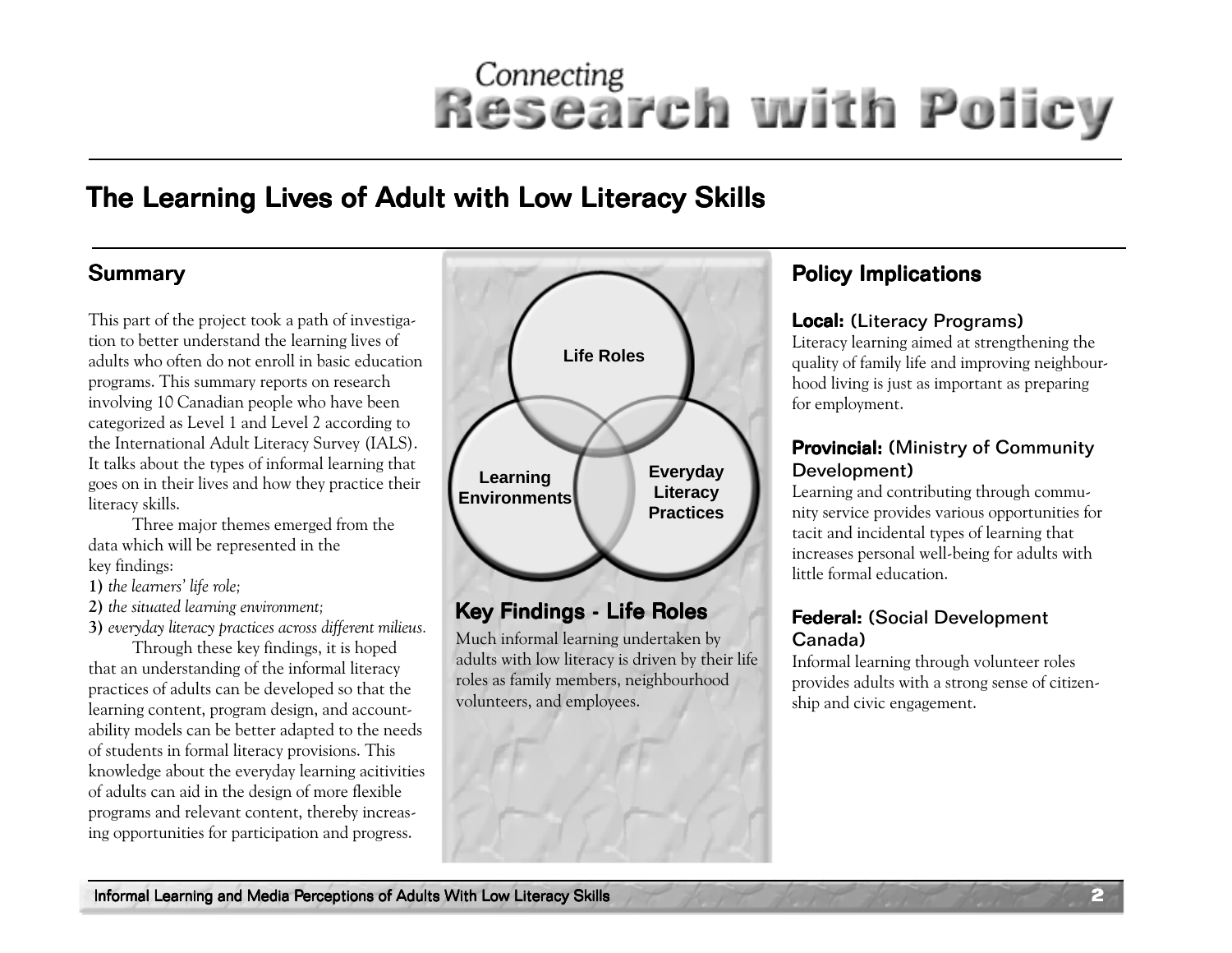## The Learning Lives of Adult with Low Literacy Skills

This part of the project took a path of investigation to better understand the learning lives of adults who often do not enroll in basic education programs. This summary reports on research involving 10 Canadian people who have been categorized as Level 1 and Level 2 according to the International Adult Literacy Survey (IALS). It talks about the types of informal learning that goes on in their lives and how they practice their literacy skills.

Three major themes emerged from the data which will be represented in the key findings:

**1)** *the learners' life role;*

**2)** *the situated learning environment;*

**3)** *everyday literacy practices across different milieus.* Through these key findings, it is hoped that an understanding of the informal literacy practices of adults can be developed so that the learning content, program design, and accountability models can be better adapted to the needs of students in formal literacy provisions. This knowledge about the everyday learning acitivities of adults can aid in the design of more flexible programs and relevant content, thereby increasing opportunities for participation and progress.



### Key Findings - Life Roles

Much informal learning undertaken by adults with low literacy is driven by their life roles as family members, neighbourhood volunteers, and employees.

#### Local: (Literacy Programs)

Literacy learning aimed at strengthening the quality of family life and improving neighbourhood living is just as important as preparing for employment.

#### Provincial: (Ministry of Community Development)

Learning and contributing through community service provides various opportunities for tacit and incidental types of learning that increases personal well-being for adults with little formal education.

#### Federal: (Social Development Canada)

Informal learning through volunteer roles provides adults with a strong sense of citizenship and civic engagement.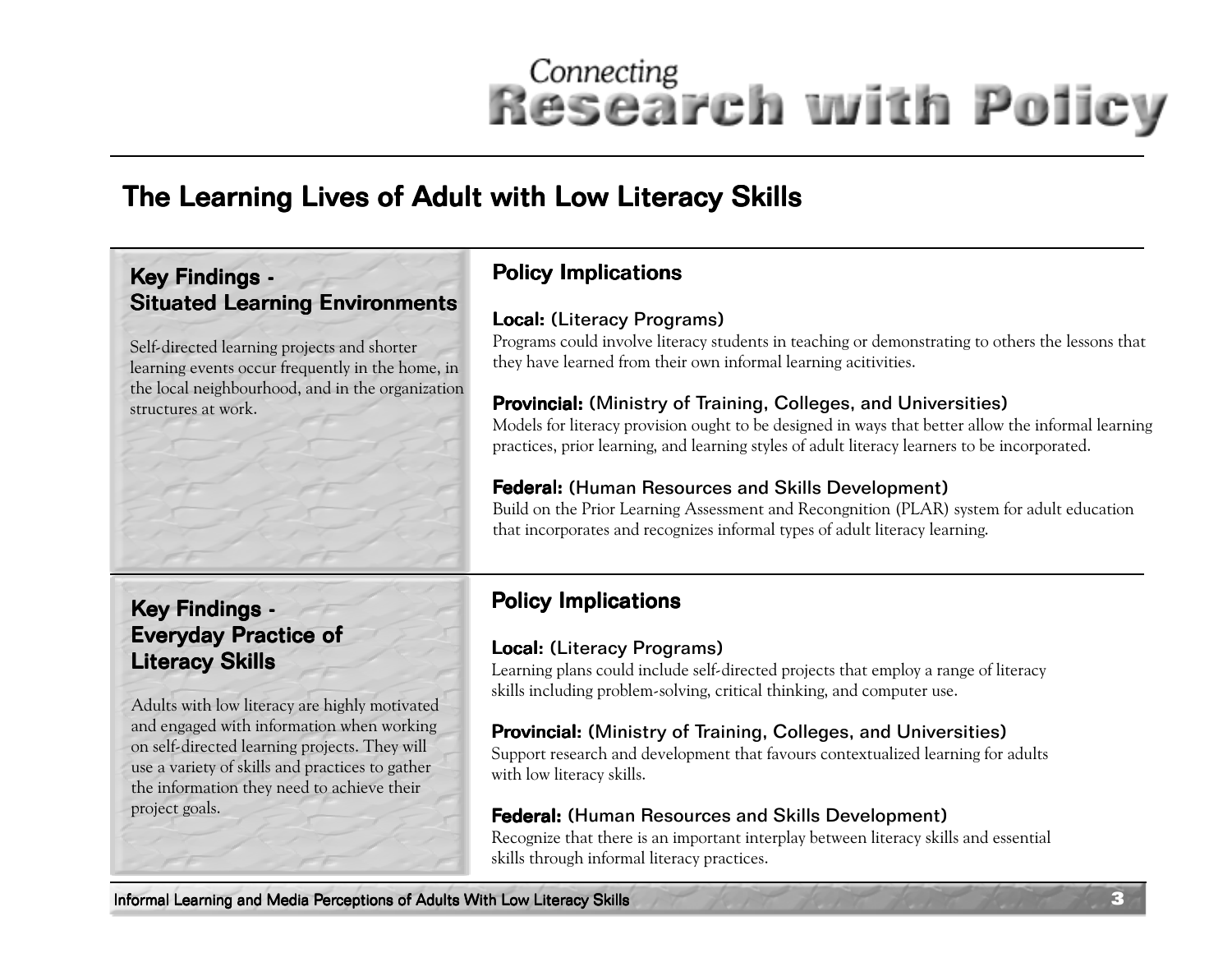# The Learning Lives of Adult with Low Literacy Skills

#### Key Findings -**Situated Learning Environments**

Self-directed learning projects and shorter learning events occur frequently in the home, in the local neighbourhood, and in the organization structures at work.

### Policy Implications

#### Local: (Literacy Programs)

Programs could involve literacy students in teaching or demonstrating to others the lessons that they have learned from their own informal learning acitivities.

#### Provincial: (Ministry of Training, Colleges, and Universities)

Models for literacy provision ought to be designed in ways that better allow the informal learning practices, prior learning, and learning styles of adult literacy learners to be incorporated.

#### Federal: (Human Resources and Skills Development)

Build on the Prior Learning Assessment and Recongnition (PLAR) system for adult education that incorporates and recognizes informal types of adult literacy learning.

#### Key Findings -**Everyday Practice of** Literacy Skills

Adults with low literacy are highly motivated and engaged with information when working on self-directed learning projects. They will use a variety of skills and practices to gather the information they need to achieve their project goals.

### Policy Implications

#### Local: (Literacy Programs)

Learning plans could include self-directed projects that employ a range of literacy skills including problem-solving, critical thinking, and computer use.

#### Provincial: (Ministry of Training, Colleges, and Universities)

Support research and development that favours contextualized learning for adults with low literacy skills.

#### Federal: (Human Resources and Skills Development)

Recognize that there is an important interplay between literacy skills and essential skills through informal literacy practices.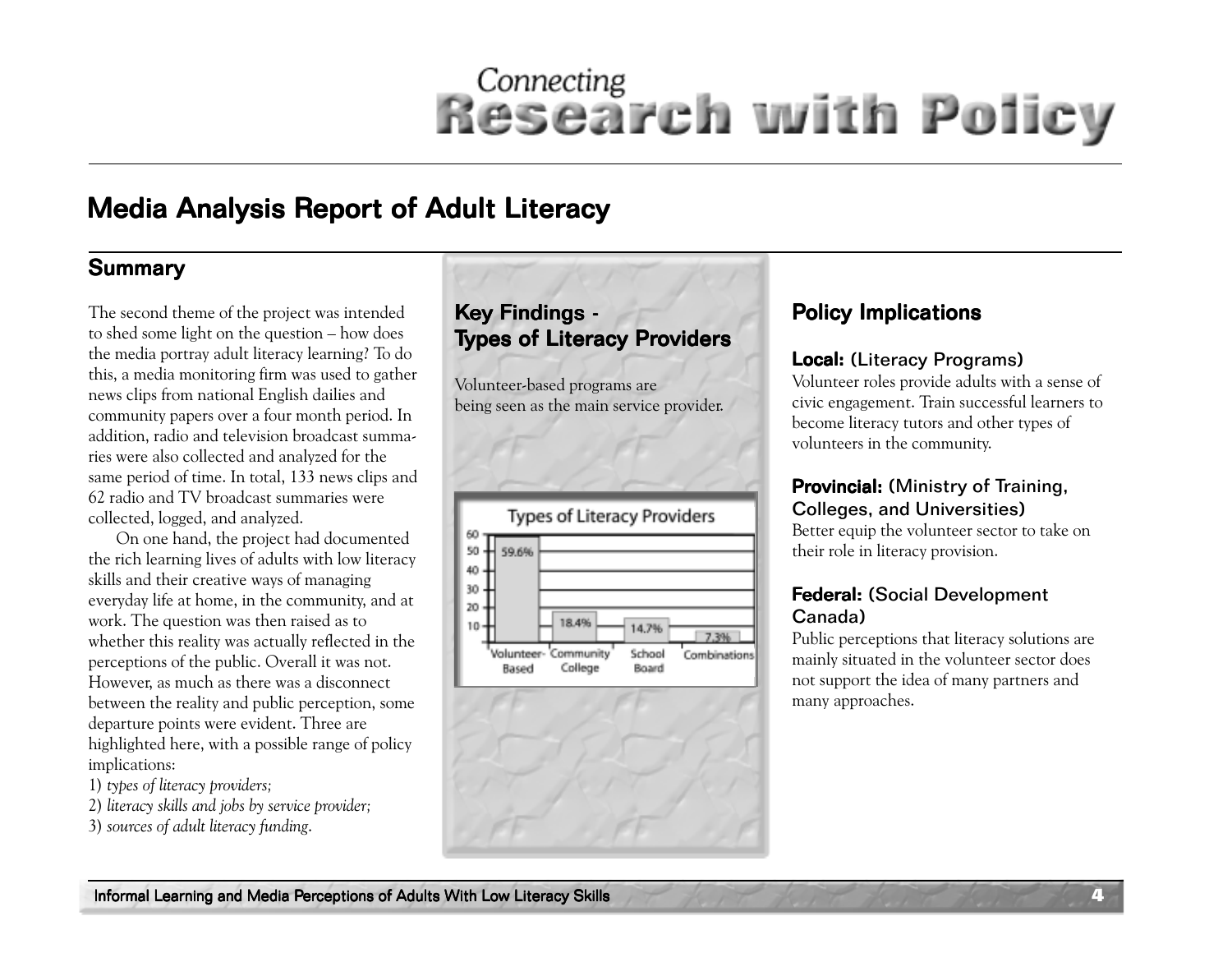## Media Analysis Report of Adult Literacy

#### **Summary**

The second theme of the project was intended to shed some light on the question – how does the media portray adult literacy learning? To do this, a media monitoring firm was used to gather news clips from national English dailies and community papers over a four month period. In addition, radio and television broadcast summaries were also collected and analyzed for the same period of time. In total, 133 news clips and 62 radio and TV broadcast summaries were collected, logged, and analyzed.

On one hand, the project had documented the rich learning lives of adults with low literacy skills and their creative ways of managing everyday life at home, in the community, and at work. The question was then raised as to whether this reality was actually reflected in the perceptions of the public. Overall it was not. However, as much as there was a disconnect between the reality and public perception, some departure points were evident. Three are highlighted here, with a possible range of policy implications:

- 1) *types of literacy providers;*
- 2) *literacy skills and jobs by service provider;*
- 3) *sources of adult literacy funding*.

#### Key Findings -Types of Literacy Providers

Volunteer-based programs are being seen as the main service provider.





### Policy Implications

#### Local: (Literacy Programs)

Volunteer roles provide adults with a sense of civic engagement. Train successful learners to become literacy tutors and other types of volunteers in the community.

#### Provincial: (Ministry of Training, Colleges, and Universities)

Better equip the volunteer sector to take on their role in literacy provision.

#### Federal: (Social Development Canada)

Public perceptions that literacy solutions are mainly situated in the volunteer sector does not support the idea of many partners and many approaches.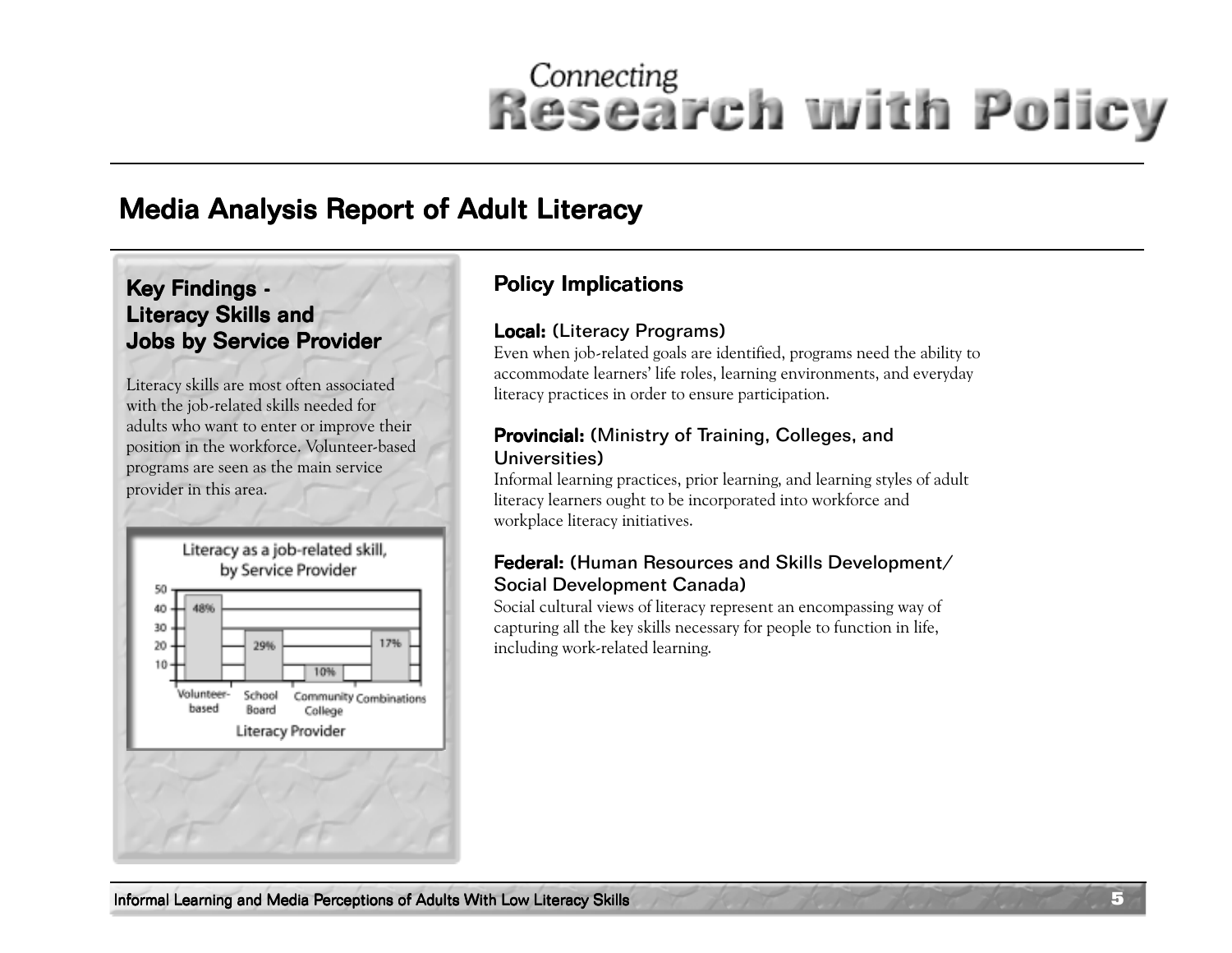### **Media Analysis Report of Adult Literacy**

#### Key Findings -Literacy Skills and Jobs by Service Provider

Literacy skills are most often associated with the job-related skills needed for adults who want to enter or improve their position in the workforce. Volunteer-based programs are seen as the main service provider in this area.



#### Policy Implications

#### Local: (Literacy Programs)

Even when job-related goals are identified, programs need the ability to accommodate learners' life roles, learning environments, and everyday literacy practices in order to ensure participation.

#### Provincial: (Ministry of Training, Colleges, and Universities)

Informal learning practices, prior learning, and learning styles of adult literacy learners ought to be incorporated into workforce and workplace literacy initiatives.

#### **Federal:** (Human Resources and Skills Development/ Social Development Canada)

Social cultural views of literacy represent an encompassing way of capturing all the key skills necessary for people to function in life, including work-related learning.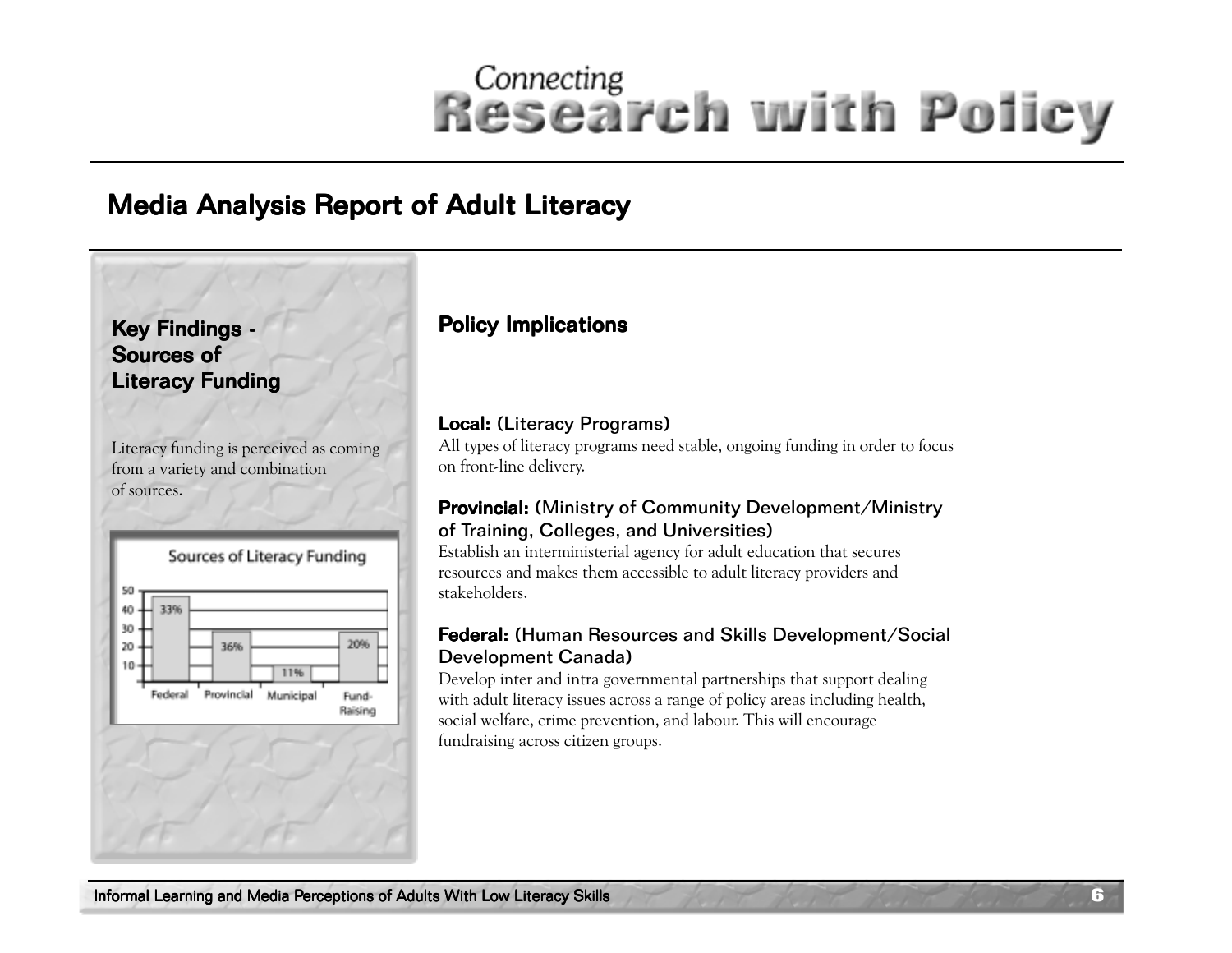### Media Analysis Report of Adult Literacy

### Key Findings -Sources of Literacy Funding

Literacy funding is perceived as coming from a variety and combination of sources.



### Policy Implications

#### Local: (Literacy Programs)

All types of literacy programs need stable, ongoing funding in order to focus on front-line delivery.

#### Provincial: (Ministry of Community Development/Ministry of Training, Colleges, and Universities)

Establish an interministerial agency for adult education that secures resources and makes them accessible to adult literacy providers and stakeholders.

#### Federal: (Human Resources and Skills Development/Social Development Canada)

Develop inter and intra governmental partnerships that support dealing with adult literacy issues across a range of policy areas including health, social welfare, crime prevention, and labour. This will encourage fundraising across citizen groups.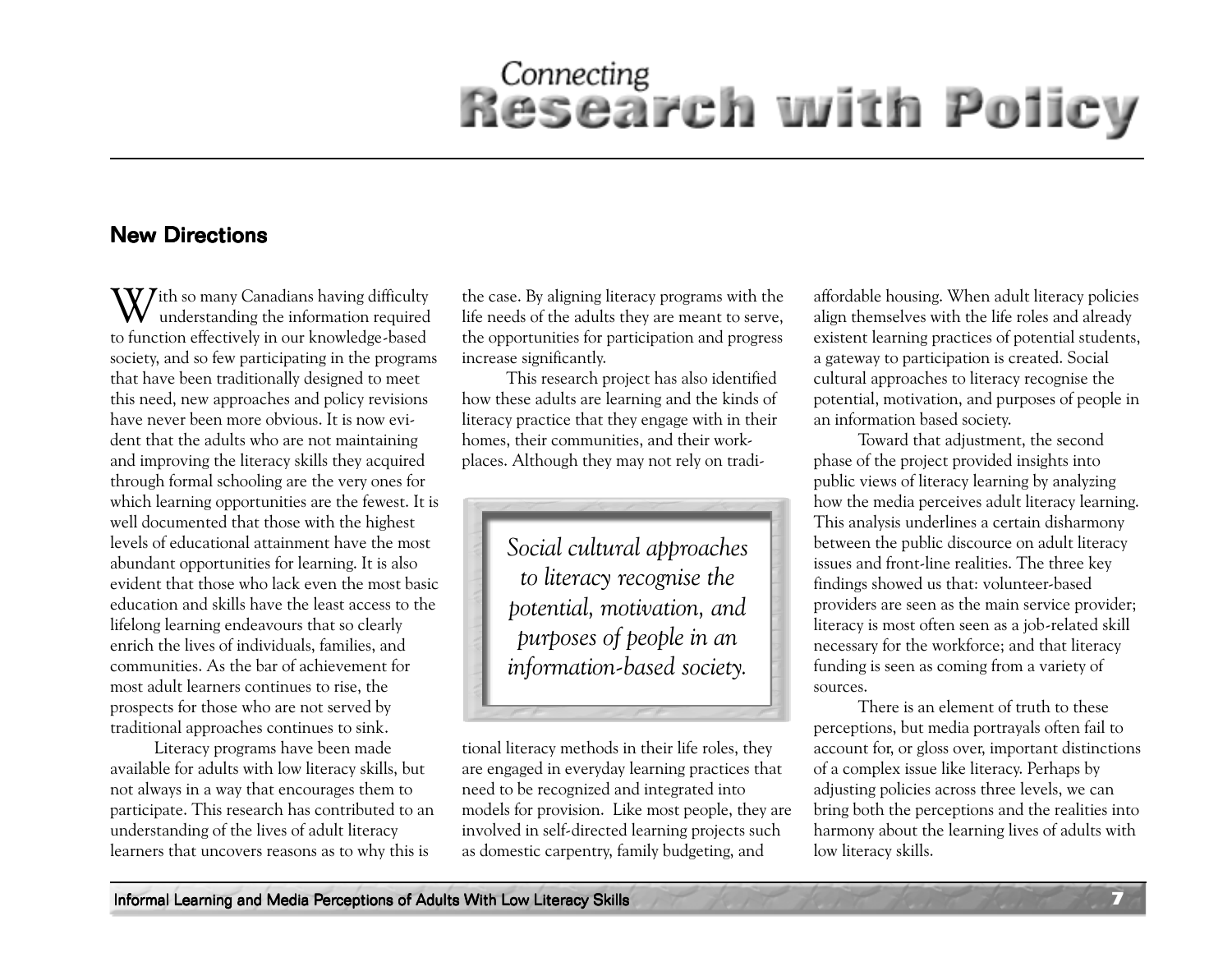#### **New Directions**

 $\mathrm{W\!J}$ ith so many Canadians having difficulty understanding the information required to function effectively in our knowledge-based society, and so few participating in the programs that have been traditionally designed to meet this need, new approaches and policy revisions have never been more obvious. It is now evident that the adults who are not maintaining and improving the literacy skills they acquired through formal schooling are the very ones for which learning opportunities are the fewest. It is well documented that those with the highest levels of educational attainment have the most abundant opportunities for learning. It is also evident that those who lack even the most basic education and skills have the least access to the lifelong learning endeavours that so clearly enrich the lives of individuals, families, and communities. As the bar of achievement for most adult learners continues to rise, the prospects for those who are not served by traditional approaches continues to sink.

Literacy programs have been made available for adults with low literacy skills, but not always in a way that encourages them to participate. This research has contributed to an understanding of the lives of adult literacy learners that uncovers reasons as to why this is

the case. By aligning literacy programs with the life needs of the adults they are meant to serve, the opportunities for participation and progress increase significantly.

This research project has also identified how these adults are learning and the kinds of literacy practice that they engage with in their homes, their communities, and their workplaces. Although they may not rely on tradi-

> *Social cultural approaches to literacy recognise the potential, motivation, and purposes of people in an information-based society.*

tional literacy methods in their life roles, they are engaged in everyday learning practices that need to be recognized and integrated into models for provision. Like most people, they are involved in self-directed learning projects such as domestic carpentry, family budgeting, and

affordable housing. When adult literacy policies align themselves with the life roles and already existent learning practices of potential students, a gateway to participation is created. Social cultural approaches to literacy recognise the potential, motivation, and purposes of people in an information based society.

Toward that adjustment, the second phase of the project provided insights into public views of literacy learning by analyzing how the media perceives adult literacy learning. This analysis underlines a certain disharmony between the public discource on adult literacy issues and front-line realities. The three key findings showed us that: volunteer-based providers are seen as the main service provider; literacy is most often seen as a job-related skill necessary for the workforce; and that literacy funding is seen as coming from a variety of sources.

There is an element of truth to these perceptions, but media portrayals often fail to account for, or gloss over, important distinctions of a complex issue like literacy. Perhaps by adjusting policies across three levels, we can bring both the perceptions and the realities into harmony about the learning lives of adults with low literacy skills.